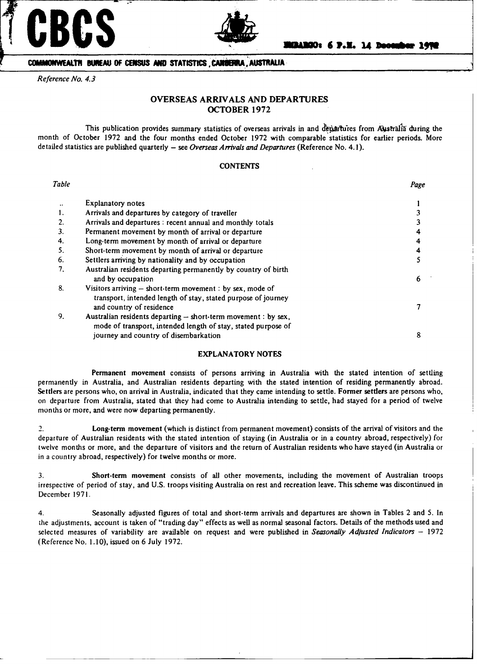



# **COMMONWEALTH BUKEAU OF CENSUS AND STATISTICS CANDERRA , AUSTRALIA**

*Reference No. 4.3*

# **OVERSEAS ARRIVALS AND DEPARTURES OCTOBER 1972**

This publication provides summary statistics of overseas arrivals in and departures from Australia during the month of October 1972 and the four months ended October 1972 with comparable statistics for earlier periods. More detailed statistics are published quarterly - see *Overseas Arrivals and Departures* (Reference No. 4.1).

### **CONTENTS**

| Table                |                                                                                                                                                                          | Page |
|----------------------|--------------------------------------------------------------------------------------------------------------------------------------------------------------------------|------|
| $\ddot{\phantom{0}}$ | <b>Explanatory notes</b>                                                                                                                                                 |      |
|                      | Arrivals and departures by category of traveller                                                                                                                         |      |
|                      | Arrivals and departures : recent annual and monthly totals                                                                                                               |      |
| 3.                   | Permanent movement by month of arrival or departure                                                                                                                      |      |
| 4.                   | Long-term movement by month of arrival or departure                                                                                                                      |      |
| 5.                   | Short-term movement by month of arrival or departure                                                                                                                     | 4    |
| 6.                   | Settlers arriving by nationality and by occupation                                                                                                                       |      |
| 7.                   | Australian residents departing permanently by country of birth<br>and by occupation                                                                                      | 6    |
| 8.                   | Visitors arriving $-$ short-term movement : by sex, mode of<br>transport, intended length of stay, stated purpose of journey<br>and country of residence                 |      |
| 9.                   | Australian residents departing - short-term movement : by sex,<br>mode of transport, intended length of stay, stated purpose of<br>journey and country of disembarkation | 8    |
|                      |                                                                                                                                                                          |      |

## EXPLANATORY NOTES

**Permanent movement** consists of persons arriving in Australia with the stated intention of settling permanently in Australia, and Australian residents departing with the stated intention of residing permanently abroad. **Settlers are** persons who, on arrival in Australia, indicated that they came intending to settle. **Former settlers** are persons who, on departure from Australia, stated that they had come to Australia intending to settle, had stayed for a period of twelve months or more, and were now departing permanently.

2. Long-term **movement** (which is distinct from permanent movement) consists of the arrival of visitors and the departure of Australian residents with the stated intention of staying (in Australia or in a country abroad, respectively) for twelve months or more, and the departure of visitors and the return of Australian residents who have stayed (in Australia or in a country abroad, respectively) for twelve months or more.

3. Short-term **movement** consists of all other movements, including the movement of Australian troops irrespective of period of stay, and U.S. troops visiting Australia on rest and recreation leave. This scheme was discontinued in December 1971.

4. Seasonally adjusted figures of total and short-term arrivals and departures are shown in Tables 2 and 5. In the adjustments, account is taken of "trading day" effects as well as normal seasonal factors. Details of the methods used and selected measures of variability are available on request and were published in *Seasonally Adjusted Indicators* - 1972 (Reference No. 1.10), issued on 6 July 1972.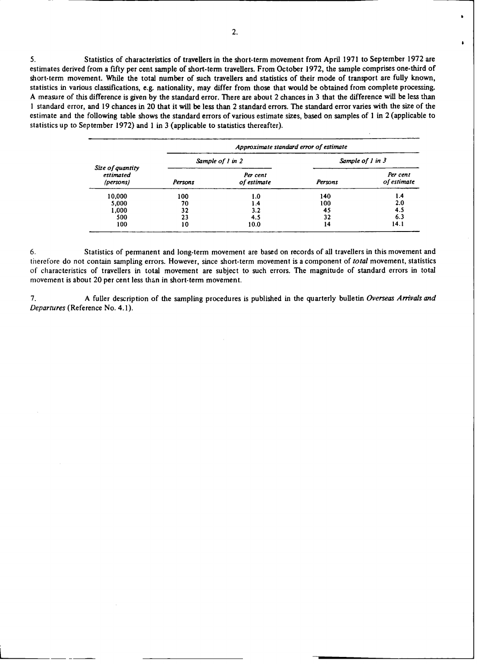5. **Statistics of characteristics of travellers in the short-term movement from April 1971 to September** 1972 **are estimates derived from a** fifty **per cent sample of short-term travellers. From October 1972, the sample comprises one-third of short-term movement. While the total** number **of such travellers and statistics of their mode of transport are fully known, statistics in various classifications, e.g.** nationality, **may differ from those that would be obtained from complete processing. A measure of this difference is given by the standard error. There are about 2 chances** in **3 that the difference will be less than** I standard error, and 19 chances in 20 that it will be less than 2 standard errors. The standard error varies with the size of the **estimate and the following table shows the standard errors of various estimate sizes, based on samples of 1** in **2 (applicable to statistics up to September 1972) and 1 in 3 (applicable to statistics thereafter).**

|                                            | Approximate standard error of estimate |                         |                      |                         |  |  |  |  |
|--------------------------------------------|----------------------------------------|-------------------------|----------------------|-------------------------|--|--|--|--|
|                                            |                                        | Sample of 1 in 2        | Sample of $1$ in $3$ |                         |  |  |  |  |
| Size of quantity<br>estimated<br>(persons) | Persons                                | Per cent<br>of estimate | Persons              | Per cent<br>of estimate |  |  |  |  |
| 10,000                                     | 100                                    | 1.0                     | 140                  | 1.4                     |  |  |  |  |
| 5,000                                      | 70                                     | 1.4                     | 100                  | 2.0                     |  |  |  |  |
| 1,000                                      | 32                                     | 3.2                     | 45                   | 4.5                     |  |  |  |  |
| 500                                        | 23                                     | 4.5                     | 32                   | 6.3                     |  |  |  |  |
| 100                                        | 10                                     | 10.0                    | 14                   | 14.1                    |  |  |  |  |

6. Statistics of permanent and long-term movement are based on records of all travellers in this movement and **therefore do not contain sampling errors. However, since short-term movement is a component of total movement, statistics** of characteristics of travellers in total movement are subject to such errors. The magnitude of standard errors in total **movement is about 20 per cent less than in short-term movement.**

7. A fuller description of the sampling procedures is published in the quarterly bulletin *Overseas Arrivals and* Departures (Reference No. 4.1).

ï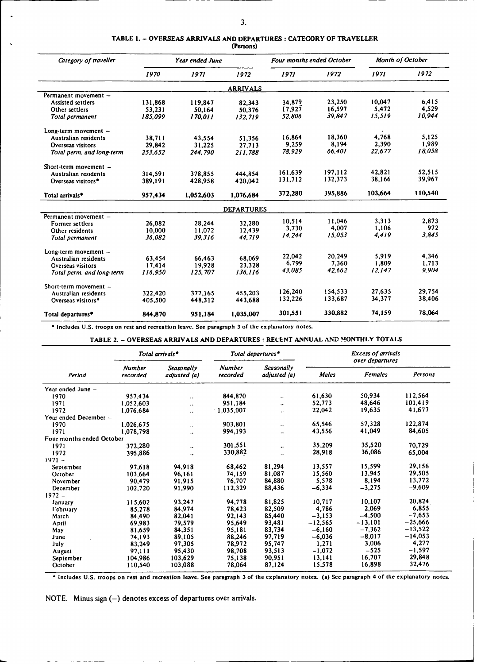# **TABLE** 1. **- OVERSEAS ARRIVALS AND DEPARTURES** : **CATEGORY OF TRAVELLER**

| (Persons) |  |
|-----------|--|
|-----------|--|

| Category of traveller          |         | Year ended June |                   | Four months ended October |         | Month of October |         |
|--------------------------------|---------|-----------------|-------------------|---------------------------|---------|------------------|---------|
|                                | 1970    | 1971            | 1972              | 1971                      | 1972    | 1971             | 1972    |
|                                |         |                 | <b>ARRIVALS</b>   |                           |         |                  |         |
| Permanent movement -           |         |                 |                   |                           |         |                  |         |
| Assisted settlers              | 131,868 | 119.847         | 82,343            | 34,879                    | 23,250  | 10.047           | 6.415   |
| Other settlers                 | 53,231  | 50.164          | 50,376            | 17,927                    | 16.597  | 5.472            | 4.529   |
| Total permanent                | 185.099 | 170.011         | 132.719           | 52.806                    | 39.847  | 15.519           | 10.944  |
| Long-term movement -           |         |                 |                   |                           |         |                  |         |
| Australian residents           | 38,711  | 43,554          | 51,356            | 16.864                    | 18,360  | 4.768            | 5.125   |
| Overseas visitors              | 29,842  | 31.225          | 27.713            | 9.259                     | 8,194   | 2,390            | 1,989   |
| Total perm. and long-term      | 253,652 | 244,790         | 211.788           | 78,929                    | 66,401  | 22.677           | 18,058  |
| Short-term movement $-$        |         |                 |                   |                           |         |                  |         |
| Australian residents           | 314,591 | 378,855         | 444,854           | 161.639                   | 197,112 | 42.821           | 52.515  |
| Overseas visitors <sup>*</sup> | 389.191 | 428.958         | 420.042           | 131,712                   | 132,373 | 38.166           | 39,967  |
| Total arrivals*                | 957,434 | 1,052,603       | 1,076,684         | 372,280                   | 395,886 | 103,664          | 110,540 |
|                                |         |                 | <b>DEPARTURES</b> |                           |         |                  |         |
| Permanent movement -           |         |                 |                   |                           |         |                  |         |
| Former settlers                | 26,082  | 28.244          | 32.280            | 10,514                    | 11,046  | 3,313            | 2,873   |
| Other residents                | 10,000  | 11.072          | 12.439            | 3,730                     | 4,007   | 1.106            | 972     |
| Total permanent                | 36,082  | 39.316          | 44.719            | 14,244                    | 15.053  | 4,419            | 3.845   |
| $Long-term movement -$         |         |                 |                   |                           |         |                  |         |
| Australian residents           | 63,454  | 66,463          | 68,069            | 22.042                    | 20,249  | 5.919            | 4.346   |
| Overseas visitors              | 17.414  | 19.928          | 23.328            | 6,799                     | 7.360   | 1.809            | 1.713   |
| Total perm. and long-term      | 116.950 | 125.707         | 136.116           | 43.085                    | 42.662  | 12.147           | 9,904   |
| Short-term movement $-$        |         |                 |                   |                           |         |                  |         |
| Australian residents           | 322,420 | 377,165         | 455,203           | 126,240                   | 154,533 | 27,635           | 29,754  |
| Overseas visitors*             | 405,500 | 448,312         | 443,688           | 132,226                   | 133,687 | 34,377           | 38,406  |
| Total departures*              | 844,870 | 951,184         | 1,035,007         | 301.551                   | 330,882 | 74,159           | 78,064  |

**\*** Includes U.S. **troops on** rest **and** recreation leave. **See paragraph** 3 **of the** explanatory notes.

**TABLE 2. - OVERSEAS** ARRIVALS **AND DEPARTURES** : RECENT ANNUAL **AND MONTHLY** TOTALS

|                           | Total arrivals*           |                            |                           | Total departures*          | <b>Excess of arrivals</b> |                                   |           |  |
|---------------------------|---------------------------|----------------------------|---------------------------|----------------------------|---------------------------|-----------------------------------|-----------|--|
| Period                    | <b>Number</b><br>recorded | Seasonally<br>adjusted (a) | <b>Number</b><br>recorded | Seasonally<br>adjusted (a) | <b>Males</b>              | over departures<br><b>Females</b> | Persons   |  |
|                           |                           |                            |                           |                            |                           |                                   |           |  |
| Year ended June -         |                           |                            |                           |                            |                           |                                   |           |  |
| 1970                      | 957,434                   | $\ddotsc$                  | 844,870                   | $\ddotsc$                  | 61,630                    | 50,934                            | 112,564   |  |
| 1971                      | 1,052,603                 | $\ddot{\phantom{0}}$       | 951.184                   | $\ddotsc$                  | 52,773                    | 48.646                            | 101,419   |  |
| 1972                      | 1,076,684                 | $\ddot{\phantom{0}}$       | 1,035,007                 | $\ddot{\phantom{0}}$       | 22,042                    | 19,635                            | 41,677    |  |
| Year ended December -     |                           |                            |                           |                            |                           |                                   |           |  |
| 1970                      | 1.026.675                 | $\ddot{\phantom{0}}$       | 903,801                   | $\cdot$ .                  | 65,546                    | 57,328                            | 122,874   |  |
| 1971                      | 1,078,798                 | $\ddot{\phantom{0}}$       | 994,193                   | $\ddot{\phantom{a}}$       | 43,556                    | 41,049                            | 84,605    |  |
| Four months ended October |                           |                            |                           |                            |                           |                                   |           |  |
| 1971                      | 372,280                   |                            | 301.551                   | $\ddotsc$                  | 35.209                    | 35,520                            | 70,729    |  |
| 1972                      | 395,886                   | $\ddotsc$                  | 330,882                   | ٠.                         | 28,918                    | 36,086                            | 65,004    |  |
| $1971 -$                  |                           |                            |                           |                            |                           |                                   |           |  |
| September                 | 97,618                    | 94,918                     | 68,462                    | 81,294                     | 13,557                    | 15,599                            | 29,156    |  |
| October                   | 103,664                   | 96,161                     | 74,159                    | 81,087                     | 15,560                    | 13,945                            | 29,505    |  |
| November                  | 90,479                    | 91,915                     | 76,707                    | 84,880                     | 5,578                     | 8,194                             | 13,772    |  |
| December                  | 102,720                   | 91,990                     | 112,329                   | 88,436                     | $-6,334$                  | $-3,275$                          | $-9,609$  |  |
| $1972 -$                  |                           |                            |                           |                            |                           |                                   |           |  |
| January                   | 115,602                   | 93,247                     | 94,778                    | 81,825                     | 10,717                    | 10,107                            | 20,824    |  |
| February                  | 85,278                    | 84,974                     | 78.423                    | 82,509                     | 4,786                     | 2.069                             | 6,855     |  |
| March                     | 84,490                    | 82,041                     | 92,143                    | 85,440                     | $-3,153$                  | $-4,500$                          | $-7,653$  |  |
| April                     | 69.983                    | 79,579                     | 95,649                    | 93,481                     | $-12,565$                 | $-13,101$                         | $-25,666$ |  |
| May                       | 81.659                    | 84,351                     | 95,181                    | 83.734                     | $-6,160$                  | $-7,362$                          | $-13,522$ |  |
| June                      | 74,193                    | 89,105                     | 88,246                    | 97,719                     | $-6,036$                  | $-8,017$                          | $-14,053$ |  |
| July                      | 83,249                    | 97,305                     | 78.972                    | 95.747                     | 1,271                     | 3,006                             | 4,277     |  |
| August                    | 97.111                    | 95,430                     | 98,708                    | 93.513                     | $-1,072$                  | $-525$                            | $-1,597$  |  |
| September                 | 104,986                   | 103,629                    | 75,138                    | 90,951                     | 13,141                    | 16,707                            | 29,848    |  |
| October                   | 110,540                   | 103,088                    | 78,064                    | 87,124                     | 15,578                    | 16,898                            | 32,476    |  |

**\* Includes U.S. troops on rest and recreation leave. See paragraph 3 of the explanatory notes. (a) See paragraph 4 of the explanatory notes.**

NOTE. Minus sign (-) denotes excess of departures over arrivals.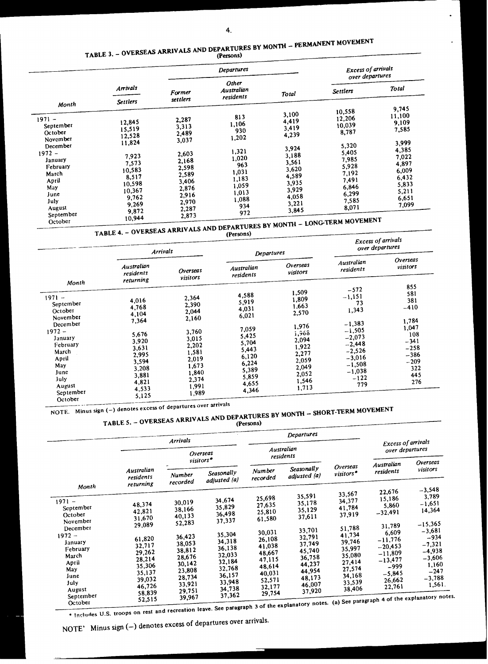# TABLE 3. - OVERSEAS ARRIVALS AND DEPARTURES BY MONTH - PERMANENT MOVEMENT

|                                                                                                                                                             | <b>Departures</b>                                                                                                        |                                                                                                                            |                                                                                                                  |                                                                                                                            | <b>Excess of arrivals</b><br>over departures                                                                                  |                                                                                                                             |  |
|-------------------------------------------------------------------------------------------------------------------------------------------------------------|--------------------------------------------------------------------------------------------------------------------------|----------------------------------------------------------------------------------------------------------------------------|------------------------------------------------------------------------------------------------------------------|----------------------------------------------------------------------------------------------------------------------------|-------------------------------------------------------------------------------------------------------------------------------|-----------------------------------------------------------------------------------------------------------------------------|--|
|                                                                                                                                                             | Arrivals                                                                                                                 | <b>Former</b>                                                                                                              | Other<br>Australian<br>residents                                                                                 | Total                                                                                                                      | <b>Settlers</b>                                                                                                               | Total                                                                                                                       |  |
| Month                                                                                                                                                       | <b>Settlers</b>                                                                                                          | settlers                                                                                                                   |                                                                                                                  |                                                                                                                            |                                                                                                                               |                                                                                                                             |  |
| $1971 -$<br>September<br>October<br>November<br>December<br>$1972 -$<br>January<br>February<br>March<br>April<br>May<br>June<br>July<br>August<br>September | 12,845<br>15,519<br>12,528<br>11,824<br>7.923<br>7,573<br>10,583<br>8,517<br>10,598<br>10,367<br>9,762<br>9,269<br>9,872 | 2,287<br>3,313<br>2,489<br>3,037<br>2,603<br>2,168<br>2,598<br>2,589<br>3,406<br>2,876<br>2,916<br>2,970<br>2,287<br>2,873 | 813<br>1,106<br>930<br>1,202<br>1,321<br>1,020<br>963<br>1,031<br>1,183<br>1,059<br>1,013<br>1,088<br>934<br>972 | 3,100<br>4,419<br>3,419<br>4,239<br>3,924<br>3,188<br>3,561<br>3,620<br>4,589<br>3,935<br>3,929<br>4,058<br>3,221<br>3,845 | 10,558<br>12,206<br>10,039<br>8,787<br>5,320<br>5,405<br>7,985<br>5,928<br>7,192<br>7.491<br>6.846<br>6,299<br>7,585<br>8,071 | 9,745<br>11,100<br>9,109<br>7,585<br>3,999<br>4,385<br>7,022<br>4,897<br>6,009<br>6,432<br>5,833<br>5,211<br>6,651<br>7,099 |  |
| October                                                                                                                                                     | 10,944                                                                                                                   |                                                                                                                            |                                                                                                                  |                                                                                                                            | <b>CON MONTH - LONG-TERM MOVEMENT</b>                                                                                         |                                                                                                                             |  |

TABLE 4. - OVERSEAS ARRIVALS AND DEPARTURES BY MONTH - LONG-TERM MOVEMENT

|                                                                                                                                                                      | <b>Arrivals</b>                                                                                                            |                                                                                                                            | (1000000)<br>Departures                                                                                                    |                                                                                                                            | <b>Excess of arrivals</b><br>over departures                                                                                                       |                                                                                                                   |
|----------------------------------------------------------------------------------------------------------------------------------------------------------------------|----------------------------------------------------------------------------------------------------------------------------|----------------------------------------------------------------------------------------------------------------------------|----------------------------------------------------------------------------------------------------------------------------|----------------------------------------------------------------------------------------------------------------------------|----------------------------------------------------------------------------------------------------------------------------------------------------|-------------------------------------------------------------------------------------------------------------------|
|                                                                                                                                                                      | Australian<br>residents<br>returning                                                                                       | Overseas<br>visitors                                                                                                       | Australian<br>residents                                                                                                    | Overseas<br>visitors                                                                                                       | Australian<br>residents                                                                                                                            | Overseas<br>visitors                                                                                              |
| Month<br>$1971 -$<br>September<br>October<br>November<br>December<br>$1972 -$<br>January<br>February<br>March<br>April<br>May<br>June<br>July<br>August<br>September | 4,016<br>4,768<br>4,104<br>7,364<br>5,676<br>3,920<br>3,631<br>2,995<br>3,594<br>3,208<br>3,881<br>4,821<br>4,533<br>5,125 | 2,364<br>2,390<br>2,044<br>2,160<br>3,760<br>3,015<br>2,202<br>1,581<br>2,019<br>1,673<br>1,840<br>2,374<br>1,991<br>1,989 | 4,588<br>5,919<br>4,031<br>6,021<br>7,059<br>5,425<br>5,704<br>5,443<br>6,120<br>6,224<br>5,389<br>5,859<br>4,655<br>4,346 | 1,509<br>1,809<br>1,663<br>2,570<br>1,976<br>1,966<br>2,094<br>1,922<br>2,277<br>2,059<br>2,049<br>2,052<br>1,546<br>1,713 | $-572$<br>$-1,151$<br>73<br>1,343<br>$-1,383$<br>$-i,505$<br>$-2,073$<br>$-2,448$<br>$-2,526$<br>$-3,016$<br>$-1,508$<br>$-1,038$<br>$-122$<br>779 | 855<br>581<br>381<br>$-410$<br>1,784<br>1,047<br>108<br>$-341$<br>$-258$<br>$-386$<br>$-209$<br>322<br>445<br>276 |

NOTE. Minus sign (-) denotes excess of departures over arrivals

|                                                                           |                                                                                                                                                                                  | Arrivals                                                 |                                                          |                                                          | Departures                                                                                                          |                                                                              |                                                          |                                         |
|---------------------------------------------------------------------------|----------------------------------------------------------------------------------------------------------------------------------------------------------------------------------|----------------------------------------------------------|----------------------------------------------------------|----------------------------------------------------------|---------------------------------------------------------------------------------------------------------------------|------------------------------------------------------------------------------|----------------------------------------------------------|-----------------------------------------|
|                                                                           | <b>Overseas</b><br>visitors*                                                                                                                                                     |                                                          |                                                          | Australian<br>residents                                  |                                                                                                                     |                                                                              | <b>Excess of arrivals</b><br>over departures<br>Overseas |                                         |
| Month                                                                     | Australian<br>residents<br>returning                                                                                                                                             | Number<br>recorded                                       | Seasonally<br>adjusted (a)                               | <b>Number</b><br>recorded                                | Seasonally<br>adjusted (a)                                                                                          | <b>Overseas</b><br>visitors*                                                 | Australian<br>residents                                  | visitors                                |
| $1971 -$<br>September<br>October                                          | 48,374<br>42,821<br>31,670                                                                                                                                                       | 30,019<br>38,166<br>40,133                               | 34,674<br>35,829<br>36,498                               | 25,698<br>27,635<br>25,810<br>61,580                     | 35,591<br>35,178<br>35,129<br>37,611                                                                                | 33,567<br>34,377<br>41,784<br>37,919                                         | 22,676<br>15,186<br>5,860<br>$-32,491$                   | $-3,548$<br>3,789<br>$-1,651$<br>14,364 |
| November<br>December<br>$1972 -$<br>January<br>February<br>March<br>April | 37,337<br>52,283<br>29,089<br>35,304<br>36,423<br>61,820<br>34,318<br>38,053<br>32,717<br>36,138<br>38,812<br>29,262<br>32,033<br>28,676<br>28,214<br>32,184<br>30,142<br>35,306 | 30,031<br>26,108<br>41,038<br>48,667<br>47,115<br>48,614 | 33,701<br>32,791<br>37,749<br>45,740<br>36,758<br>44,237 | 51,788<br>41,734<br>39,746<br>35,997<br>35,080<br>27,414 | 31,789<br>6,609<br>$-11,776$<br>$-20,453$<br>$-11,809$<br>$-13,477$<br>-999                                         | $-15,365$<br>$-3,681$<br>$-934$<br>$-7,321$<br>$-4,938$<br>$-3,606$<br>1,160 |                                                          |                                         |
| May<br>June<br>July<br>August<br>September                                | 35,137<br>39,032<br>46,726<br>58,839                                                                                                                                             | 23,808<br>28,734<br>33,921<br>29,751<br>39,967           | 32,768<br>36,157<br>33,948<br>34,738<br>37,362           | 40,031<br>52,571<br>32,177<br>29,754                     | 44,954<br>48,173<br>46,007<br>37,920<br>the act the contensions notes (a) See paragraph 4 of the explanatory notes. | 27,574<br>34,168<br>33,539<br>38,406                                         | $-5,845$<br>26,662<br>22,761                             | $-247$<br>$-3,788$<br>1,561.            |

\* Includes U.S. troops on rest and recreation leave. See paragraph 3 of the explanatory notes. (a) See paragrap

NOTE' Minus sign (-) denotes excess of departures over arrivals.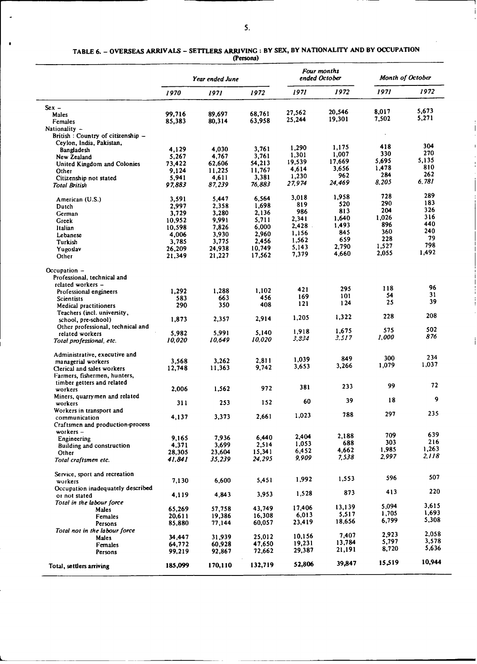| TABLE 6. – OVERSEAS ARRIVALS – SETTLERS ARRIVING : BY SEX, BY NATIONALITY AND BY OCCUPATION |           |  |  |
|---------------------------------------------------------------------------------------------|-----------|--|--|
|                                                                                             | (Persons) |  |  |

|                                     |         | Year ended June |         | Four months<br>ended October |                | Month of October |            |
|-------------------------------------|---------|-----------------|---------|------------------------------|----------------|------------------|------------|
|                                     | 1970    | 1971            | 1972    | 1971                         | 1972           | 1971             | 1972       |
| $Sex -$                             |         |                 |         |                              |                |                  |            |
| Males                               | 99.716  | 89,697          | 68,761  | 27,562                       | 20,546         | 8,017            | 5,673      |
| Females                             | 85,383  | 80,314          | 63,958  | 25,244                       | 19,301         | 7,502            | 5,271      |
| Nationality -                       |         |                 |         |                              |                |                  |            |
| British: Country of citizenship $-$ |         |                 |         |                              |                |                  |            |
| Ceylon, India, Pakistan,            |         |                 |         |                              |                |                  |            |
| Bangladesh                          | 4.129   | 4.030           | 3,761   | 1,290                        | 1.175          | 418              | 304<br>270 |
| New Zealand                         | 5,267   | 4,767           | 3,761   | 1,301                        | 1,007          | 330              | 5,135      |
| United Kingdom and Colonies         | 73,422  | 62,606          | 54,213  | 19,539                       | 17,669         | 5,695            | 810        |
| Other                               | 9,124   | 11,225          | 11,767  | 4,614                        | 3,656          | 1,478            | 262        |
| Citizenship not stated              | 5,941   | 4,611           | 3,381   | 1,230                        | 962            | 284<br>8,205     | 6,781      |
| Total British                       | 97,883  | 87,239          | 76,883  | 27,974                       | 24,469         |                  |            |
| American (U.S.)                     | 3,591   | 5,447           | 6,564   | 3,018                        | 1,958          | 728              | 289        |
| Dutch                               | 2,997   | 2,358           | 1,698   | 819                          | 520            | 290              | 183        |
| German                              | 3,729   | 3,280           | 2,136   | 986                          | 813            | 204              | 326        |
| Greek                               | 10,952  | 9,991           | 5,711   | 2,341                        | 1,640          | 1,026            | 316        |
| Italian                             | 10,598  | 7,826           | 6,000   | 2,428                        | 1,493          | 896              | 440        |
| Lebanese                            | 4,006   | 3,930           | 2,960   | 1,156                        | 845            | 360              | 240        |
| Turkish                             | 3,785   | 3,775           | 2,456   | 1,562                        | 659            | 228              | 79         |
| Yugoslav                            | 26,209  | 24,938          | 10.749  | 5,143                        | 2,790          | 1,527            | 798        |
| Other                               | 21,349  | 21,227          | 17,562  | 7,379                        | 4,660          | 2,055            | 1,492      |
| Occupation $-$                      |         |                 |         |                              |                |                  |            |
| Professional, technical and         |         |                 |         |                              |                |                  |            |
| related workers -                   |         |                 |         |                              |                |                  |            |
| Professional engineers              | 1,292   | 1,288           | 1,102   | 421                          | 295            | 118              | 96         |
| Scientists                          | 583     | 663             | 456     | 169                          | 101            | 54               | 31<br>39   |
| Medical practitioners               | 290     | 350             | 408     | 121                          | 124            | 25               |            |
| Teachers (incl. university,         |         |                 |         |                              |                |                  | 208        |
| school, pre-school)                 | 1,873   | 2,357           | 2,914   | 1,205                        | 1,322          | 228              |            |
| Other professional, technical and   |         |                 |         |                              |                | 575              | 502        |
| related workers                     | 5.982   | 5,991           | 5,140   | 1,918                        | 1,675<br>3.517 | 1,000            | 876        |
| Total professional, etc.            | 10.020  | 10,649          | 10.020  | 3,834                        |                |                  |            |
| Administrative, executive and       |         |                 |         |                              |                | 300              | 234        |
| managerial workers                  | 3,568   | 3,262           | 2,811   | 1,039                        | 849            | 1,079            | 1,037      |
| Clerical and sales workers          | 12,748  | 11,363          | 9,742   | 3,653                        | 3,266          |                  |            |
| Farmers, fishermen, hunters,        |         |                 |         |                              |                |                  |            |
| timber getters and related          |         |                 |         | 381                          | 233            | 99               | 72         |
| workers                             | 2,006   | 1,562           | 972     |                              |                |                  |            |
| Miners, quarrymen and related       |         |                 |         | 60                           | 39             | 18               | 9          |
| workers                             | 311     | 253             | 152     |                              |                |                  |            |
| Workers in transport and            |         |                 |         | 1,023                        | 788            | 297              | 235        |
| communication                       | 4,137   | 3,373           | 2,661   |                              |                |                  |            |
| Craftsmen and production-process    |         |                 |         |                              |                |                  |            |
| workers-                            |         |                 | 6,440   | 2,404                        | 2,188          | 709              | 639        |
| Engineering                         | 9,165   | 7,936           | 2,514   | 1,053                        | 688            | 303              | 216        |
| Building and construction           | 4,371   | 3,699<br>23,604 | 15,341  | 6,452                        | 4,662          | 1,985            | 1,263      |
| Other                               | 28,305  | 35,239          | 24,295  | 9,909                        | 7,538          | 2,997            | 2,118      |
| Total craftsmen etc.                | 41.841  |                 |         |                              |                |                  |            |
| Service, sport and recreation       |         |                 |         |                              |                |                  | 507        |
| workers                             | 7,130   | 6,600           | 5,451   | 1,992                        | 1,553          | 596              |            |
| Occupation inadequately described   |         |                 |         |                              |                |                  | 220        |
| or not stated                       | 4,119   | 4,843           | 3,953   | 1,528                        | 873            | 413              |            |
| Total in the labour force           |         |                 |         |                              |                | 5.094            | 3,615      |
| Males                               | 65,269  | 57,758          | 43.749  | 17,406                       | 13,139         | 1,705            | 1,693      |
| Females                             | 20,611  | 19,386          | 16,308  | 6,013                        | 5,517          | 6,799            | 5,308      |
| Persons                             | 85,880  | 77,144          | 60,057  | 23,419                       | 18,656         |                  |            |
| Total not in the labour force       |         |                 |         |                              | 7,407          | 2,923            | 2,058      |
| Males                               | 34,447  | 31,939          | 25,012  | 10,156                       | 13,784         | 5,797            | 3,578      |
| Females                             | 64,772  | 60,928          | 47,650  | 19,231                       | 21,191         | 8,720            | 5,636      |
| Persons                             | 99,219  | 92,867          | 72,662  | 29,387                       |                |                  |            |
| Total, settlers arriving            | 185,099 | 170,110         | 132,719 | 52,806                       | 39,847         | 15,519           | 10,944     |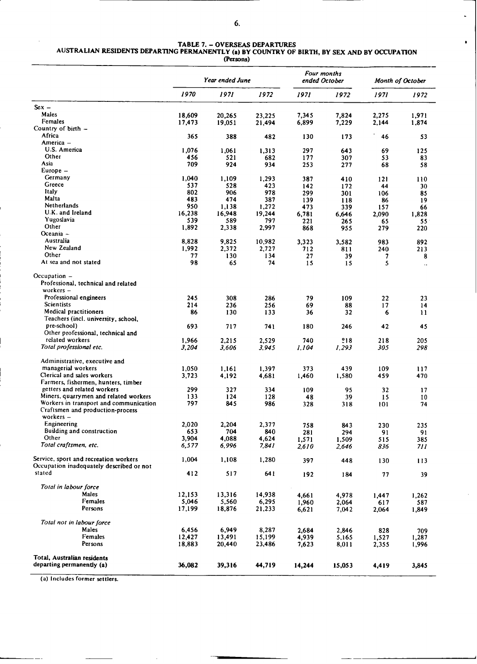$\bullet$ 

# **TABLE** 7. - **OVERSEAS DEPARTURES AUSTRALIAN RESIDENTS DEPARTING PERMANENTLY (a) BY COUNTRY OF BIRTH, BY SEX AND BY OCCUPATION**

|                                                      | Year ended June |                |                | Four months<br>ended October |            | Month of October |            |
|------------------------------------------------------|-----------------|----------------|----------------|------------------------------|------------|------------------|------------|
|                                                      | 1970            | 1971           | 1972           | 1971                         | 1972       | 1971             | 1972       |
| $Sex -$                                              |                 |                |                |                              |            |                  |            |
| Males                                                | 18,609          | 20,265         | 23,225         | 7,345                        | 7,824      | 2,275            | 1,971      |
| Females                                              | 17,473          | 19,051         | 21,494         | 6,899                        | 7,229      | 2,144            | 1,874      |
| Country of $birth -$                                 |                 |                |                |                              |            |                  |            |
| Africa                                               | 365             | 388            | 482            | 130                          | 173        | 46               | 53         |
| America –                                            |                 |                |                |                              |            |                  |            |
| U.S. America                                         | 1.076           | 1,061          | 1,313          | 297                          | 643        | 69               | 125        |
| Other                                                | 456             | 521            | 682            | 177                          | 307        | 53               | 83         |
| Asia<br>Europe –                                     | 709             | 924            | 934            | 253                          | 277        | 68               | 58         |
| Germany                                              |                 |                |                |                              |            |                  |            |
| Greece                                               | 1,040<br>537    | 1,109<br>528   | 1,293<br>423   | 387<br>142                   | 410        | 121<br>44        | 110<br>30  |
| ltaly                                                | 802             | 906            | 978            | 299                          | 172<br>301 | 106              | 85         |
| Malta                                                | 483             | 474            | 387            | 139                          | 118        | 86               | 19         |
| Netherlands                                          | 950             | 1,138          | 1,272          | 473                          | 339        | 157              | 66         |
| U.K. and Ireland                                     | 16,238          | 16,948         | 19,244         | 6,781                        | 6,646      | 2,090            | 1,828      |
| Yugoslavia                                           | 539             | 589            | 797            | 221                          | 265        | 65               | 55         |
| Other                                                | 1,892           | 2,338          | 2,997          | 868                          | 955        | 279              | 220        |
| Oceania -                                            |                 |                |                |                              |            |                  |            |
| Australia                                            | 8,828           | 9,825          | 10,982         | 3,323                        | 3,582      | 983              | 892        |
| New Zealand                                          | 1,992           | 2,372          | 2,727          | 712                          | 811        | 240              | 213        |
| Other                                                | 77              | 130            | 134            | 27                           | 39         | 7                | 8          |
| At sea and not stated                                | 98              | 65             | 74             | 15                           | 15         | S                | $\ddotsc$  |
| Occupation -                                         |                 |                |                |                              |            |                  |            |
| Professional, technical and related                  |                 |                |                |                              |            |                  |            |
| $workers -$                                          |                 |                |                |                              |            |                  |            |
| Professional engineers                               | 245             | 308            | 286            | 79                           | 109        | 22               | 23         |
| Scientists                                           | 214             | 236            | 256            | 69                           | 88         | 17               | 14         |
| Medical practitioners                                | 86              | 130            | 133            | 36                           | 32         | 6                | 11         |
| Teachers (incl. university, school,                  |                 |                |                |                              |            |                  |            |
| pre-school)                                          | 693             | 717            | 741            | 180                          | 246        | 42               | 45         |
| Other professional, technical and<br>related workers |                 |                |                |                              | 218        |                  |            |
| Total professional etc.                              | 1,966<br>3,204  | 2,215<br>3,606 | 2,529<br>3,945 | 740<br>1.104                 | 1,293      | 218<br>305       | 205<br>298 |
| Administrative, executive and                        |                 |                |                |                              |            |                  |            |
| managerial workers                                   | 1,050           | 1,161          |                | 373                          | 439        | 109              |            |
| Clerical and sales workers                           | 3,723           | 4,192          | 1,397<br>4,681 | 1,460                        | 1,580      | 459              | 117<br>470 |
| Farmers, fishermen, hunters, timber                  |                 |                |                |                              |            |                  |            |
| getters and related workers                          | 299             | 327            | 334            | 109                          | 95         | 32               | 17         |
| Miners, quarrymen and related workers                | 133             | 124            | 128            | 48                           | 39         | 15               | 10         |
| Workers in transport and communication               | 797             | 845            | 986            | 328                          | 318        | 101              | 74         |
| Craftsmen and production-process                     |                 |                |                |                              |            |                  |            |
| workers-                                             |                 |                |                |                              |            |                  |            |
| Engineering                                          | 2,020           | 2,204          | 2,377          | 758                          | 843        | 230              | 235        |
| Building and construction                            | 653             | 704            | 840            | 281                          | 294        | 91               | 91         |
| Other                                                | 3,904           | 4,088          | 4,624          | 1,571                        | 1,509      | 515              | 385        |
| Total craftsmen, etc.                                | 6,577           | 6,996          | 7,841          | 2,610                        | 2,646      | 836              | 711        |
| Service, sport and recreation workers                | 1,004           | 1,108          | 1,280          | 397                          | 448        | 130              | 113        |
| Occupation inadequately described or not<br>stated   | 412             | 517            | 641            |                              |            |                  |            |
|                                                      |                 |                |                | 192                          | 184        | 77               | 39         |
| Total in labour force                                |                 |                |                |                              |            |                  |            |
| Males                                                | 12,153          | 13,316         | 14,938         | 4,661                        | 4,978      | 1,447            | 1,262      |
| Females                                              | 5,046           | 5,560          | 6,295          | 1,960                        | 2,064      | 617              | 587        |
| Persons                                              | 17,199          | 18,876         | 21,233         | 6,621                        | 7,042      | 2,064            | 1,849      |
| Total not in labour force                            |                 |                |                |                              |            |                  |            |
| Males                                                | 6,456           | 6,949          | 8,287          | 2.684                        | 2,846      | 828              | 709        |
| Females                                              | 12,427          | 13,491         | 15,199         | 4,939                        | 5,165      | 1,527            | 1,287      |
| Persons                                              | 18,883          | 20,440         | 23,486         | 7,623                        | 8,011      | 2,355            | 1,996      |
| Total, Australian residents                          |                 |                |                |                              |            |                  |            |
| departing permanently (a)                            | 36,082          | 39,316         | 44,719         | 14,244                       | 15,053     | 4,419            | 3,845      |

(a) Includes former settlers.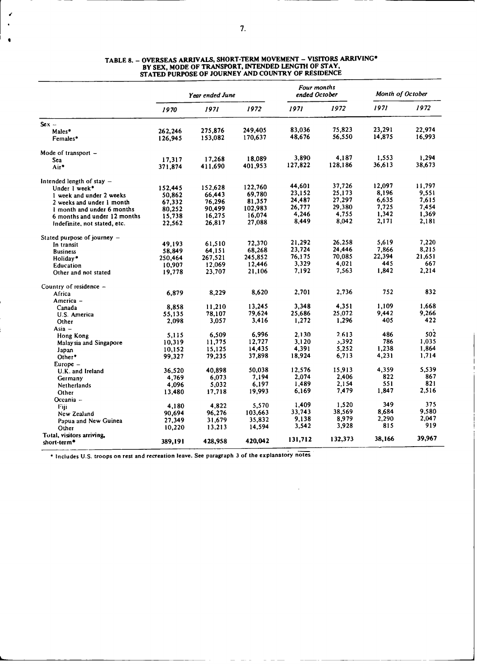|                               | Year ended June |         |         | Four months<br>ended October |         | Month of October |        |
|-------------------------------|-----------------|---------|---------|------------------------------|---------|------------------|--------|
|                               | 1970            | 1971    | 1972    | 1971                         | 1972    | 1971             | 1972   |
| $Sex -$                       |                 |         |         |                              |         |                  |        |
| Males*                        | 262,246         | 275,876 | 249,405 | 83.036                       | 75,823  | 23,291           | 22,974 |
| Females*                      | 126,945         | 153,082 | 170,637 | 48,676                       | 56,550  | 14,875           | 16,993 |
| Mode of transport –           |                 |         |         |                              |         |                  |        |
| Sea                           | 17,317          | 17.268  | 18,089  | 3.890                        | 4,187   | 1,553            | 1.294  |
| Air*                          | 371,874         | 411,690 | 401,953 | 127,822                      | 128,186 | 36,613           | 38,673 |
| Intended length of stay –     |                 |         |         |                              |         |                  |        |
| Under 1 week*                 | 152,445         | 152,628 | 122,760 | 44,601                       | 37,726  | 12,097           | 11,797 |
| 1 week and under 2 weeks      | 50,862          | 66,443  | 69,780  | 23,152                       | 25,173  | 8,196            | 9,551  |
| 2 weeks and under 1 month     | 67,332          | 76,296  | 81,357  | 24,487                       | 27,297  | 6,635            | 7.615  |
| I month and under 6 months    | 80,252          | 90,499  | 102,983 | 26,777                       | 29,380  | 7.725            | 7.454  |
| 6 months and under 12 months  | 15,738          | 16,275  | 16,074  | 4,246                        | 4,755   | 1,342            | 1,369  |
| Indefinite, not stated, etc.  | 22,562          | 26,817  | 27,088  | 8,449                        | 8,042   | 2,171            | 2,181  |
| Stated purpose of journey $-$ |                 |         |         |                              |         |                  |        |
| In transit                    | 49,193          | 61,510  | 72,370  | 21,292                       | 26,258  | 5,619            | 7,220  |
| <b>Business</b>               | 58,849          | 64,151  | 68,268  | 23,724                       | 24,446  | 7,866            | 8,215  |
| Holiday*                      | 250,464         | 267,521 | 245,852 | 76.175                       | 70.085  | 22,394           | 21.651 |
| Education                     | 10,907          | 12.069  | 12,446  | 3,329                        | 4,021   | 445              | 667    |
| Other and not stated          | 19,778          | 23,707  | 21,106  | 7,192                        | 7,563   | 1,842            | 2,214  |
| Country of residence -        |                 |         |         |                              |         |                  |        |
| Africa                        | 6,879           | 8,229   | 8,620   | 2,701                        | 2,736   | 752              | 832    |
| America -                     |                 |         |         |                              |         |                  |        |
| Canada                        | 8,858           | 11,210  | 13.245  | 3,348                        | 4.351   | 1.109            | 1,668  |
| U.S. America                  | 55.135          | 78,107  | 79,624  | 25,686                       | 25,072  | 9,442            | 9.266  |
| Other                         | 2,098           | 3,057   | 3,416   | 1,272                        | 1,296   | 405              | 422    |
| $Asia -$                      |                 |         |         |                              |         |                  |        |
| Hong Kong                     | 5,115           | 6,509   | 6,996   | 2.130                        | 2.613   | 486              | 502    |
| Malaysia and Singapore        | 10,319          | 11,775  | 12,727  | 3,120                        | 3,392   | 786              | 1,035  |
| Japan                         | 10,152          | 15,125  | 14,435  | 4,391                        | 5,252   | 1,238            | 1,864  |
| Other*                        | 99,327          | 79,235  | 37,898  | 18,924                       | 6,713   | 4,231            | 1.714  |
| Europe –                      |                 |         |         |                              |         |                  |        |
| U.K. and Ireland              | 36.520          | 40.898  | 50,038  | 12,576                       | 15,913  | 4.359            | 5.539  |
| Germany                       | 4,769           | 6,073   | 7,194   | 2,074                        | 2,406   | 822              | 867    |
| Netherlands                   | 4,096           | 5,032   | 6,197   | 1,489                        | 2.154   | 551              | 821    |
| Other                         | 13,480          | 17,718  | 19,993  | 6,169                        | 7,479   | 1,847            | 2,516  |
| Oceania –                     |                 |         |         |                              |         |                  |        |
| Fiji                          | 4,180           | 4,822   | 5,570   | 1,409                        | 1.520   | 349              | 375    |
| New Zealand                   | 90,694          | 96.276  | 103,663 | 33,743                       | 38,569  | 8,684            | 9,580  |
| Papua and New Guinea          | 27,349          | 31,679  | 35,832  | 9,138                        | 8,979   | 2,290            | 2,047  |
| Other                         | 10,220          | 13,213  | 14,594  | 3,542                        | 3,928   | 815              | 919    |
| Total, visitors arriving,     |                 |         |         |                              |         |                  |        |
| short-term <sup>*</sup>       | 389,191         | 428,958 | 420,042 | 131,712                      | 132,373 | 38,166           | 39,967 |

 $\mathbf{r}$ 

### **TABLE 8.** - **OVERSEAS ARRIVALS, SHORT-TERM MOVEMENT** - **VISITORS ARRIVING\* BY SEX, MODE OF TRANSPORT, INTENDED LENGTH OF STAY, STATED PURPOSE OF JOURNEY AND COUNTRY OF RESIDENCE**

**\* Includes U.S. troops on rest and recreation leave. See paragraph 3 of the explanatory notes**